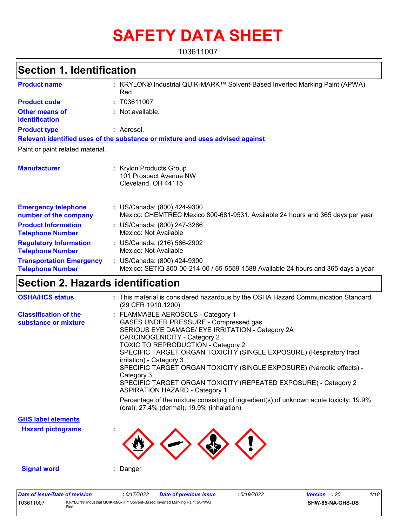# **SAFETY DATA SHEET**

T03611007

# **Section 1. Identification**

| <b>Product name</b>                                        | : KRYLON® Industrial QUIK-MARK™ Solvent-Based Inverted Marking Paint (APWA)<br>Red                               |  |  |  |  |  |
|------------------------------------------------------------|------------------------------------------------------------------------------------------------------------------|--|--|--|--|--|
| <b>Product code</b>                                        | : T03611007                                                                                                      |  |  |  |  |  |
| <b>Other means of</b><br>identification                    | : Not available.                                                                                                 |  |  |  |  |  |
| <b>Product type</b>                                        | : Aerosol.                                                                                                       |  |  |  |  |  |
|                                                            | Relevant identified uses of the substance or mixture and uses advised against                                    |  |  |  |  |  |
| Paint or paint related material.                           |                                                                                                                  |  |  |  |  |  |
| <b>Manufacturer</b>                                        | <b>Krylon Products Group</b><br>101 Prospect Avenue NW<br>Cleveland, OH 44115                                    |  |  |  |  |  |
| <b>Emergency telephone</b><br>number of the company        | : US/Canada: (800) 424-9300<br>Mexico: CHEMTREC Mexico 800-681-9531. Available 24 hours and 365 days per year    |  |  |  |  |  |
| <b>Product Information</b><br><b>Telephone Number</b>      | : US/Canada: (800) 247-3266<br>Mexico: Not Available                                                             |  |  |  |  |  |
| <b>Regulatory Information</b><br><b>Telephone Number</b>   | : US/Canada: (216) 566-2902<br>Mexico: Not Available                                                             |  |  |  |  |  |
| <b>Transportation Emergency</b><br><b>Telephone Number</b> | : US/Canada: (800) 424-9300<br>Mexico: SETIQ 800-00-214-00 / 55-5559-1588 Available 24 hours and 365 days a year |  |  |  |  |  |

# **Section 2. Hazards identification**

| <b>OSHA/HCS status</b>                               | : This material is considered hazardous by the OSHA Hazard Communication Standard<br>(29 CFR 1910.1200).                                                                                                                                                                                                                                                                                                                                                                                                                                                                                                                                                  |
|------------------------------------------------------|-----------------------------------------------------------------------------------------------------------------------------------------------------------------------------------------------------------------------------------------------------------------------------------------------------------------------------------------------------------------------------------------------------------------------------------------------------------------------------------------------------------------------------------------------------------------------------------------------------------------------------------------------------------|
| <b>Classification of the</b><br>substance or mixture | : FLAMMABLE AEROSOLS - Category 1<br>GASES UNDER PRESSURE - Compressed gas<br>SERIOUS EYE DAMAGE/ EYE IRRITATION - Category 2A<br>CARCINOGENICITY - Category 2<br><b>TOXIC TO REPRODUCTION - Category 2</b><br>SPECIFIC TARGET ORGAN TOXICITY (SINGLE EXPOSURE) (Respiratory tract<br>irritation) - Category 3<br>SPECIFIC TARGET ORGAN TOXICITY (SINGLE EXPOSURE) (Narcotic effects) -<br>Category 3<br>SPECIFIC TARGET ORGAN TOXICITY (REPEATED EXPOSURE) - Category 2<br><b>ASPIRATION HAZARD - Category 1</b><br>Percentage of the mixture consisting of ingredient(s) of unknown acute toxicity: 19.9%<br>(oral), 27.4% (dermal), 19.9% (inhalation) |
| <b>GHS label elements</b>                            |                                                                                                                                                                                                                                                                                                                                                                                                                                                                                                                                                                                                                                                           |
| <b>Hazard pictograms</b>                             |                                                                                                                                                                                                                                                                                                                                                                                                                                                                                                                                                                                                                                                           |
| <b>Signal word</b>                                   | Danger                                                                                                                                                                                                                                                                                                                                                                                                                                                                                                                                                                                                                                                    |

| Date of issue/Date of revision |                                                                                  | 6/17/2022 | Date of previous issue | : 5/19/2022 | <b>Version</b> : 20 |                         | 1/18 |
|--------------------------------|----------------------------------------------------------------------------------|-----------|------------------------|-------------|---------------------|-------------------------|------|
| T03611007                      | KRYLON® Industrial QUIK-MARK™ Solvent-Based Inverted Marking Paint (APWA)<br>Rec |           |                        |             |                     | <b>SHW-85-NA-GHS-US</b> |      |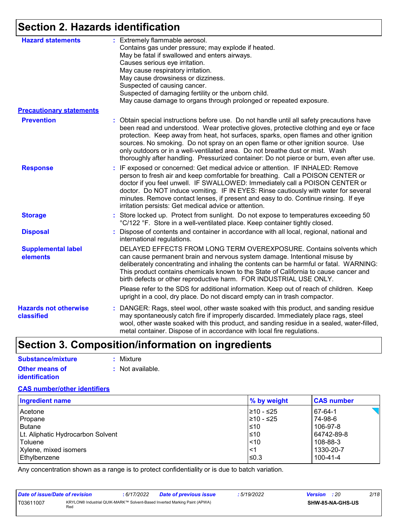# **Section 2. Hazards identification**

| <b>Hazard statements</b>                   | : Extremely flammable aerosol.<br>Contains gas under pressure; may explode if heated.                                                                                                                                                                                                                                                                                                                                                                                                                                                        |
|--------------------------------------------|----------------------------------------------------------------------------------------------------------------------------------------------------------------------------------------------------------------------------------------------------------------------------------------------------------------------------------------------------------------------------------------------------------------------------------------------------------------------------------------------------------------------------------------------|
|                                            | May be fatal if swallowed and enters airways.                                                                                                                                                                                                                                                                                                                                                                                                                                                                                                |
|                                            | Causes serious eye irritation.                                                                                                                                                                                                                                                                                                                                                                                                                                                                                                               |
|                                            | May cause respiratory irritation.                                                                                                                                                                                                                                                                                                                                                                                                                                                                                                            |
|                                            | May cause drowsiness or dizziness.                                                                                                                                                                                                                                                                                                                                                                                                                                                                                                           |
|                                            | Suspected of causing cancer.                                                                                                                                                                                                                                                                                                                                                                                                                                                                                                                 |
|                                            | Suspected of damaging fertility or the unborn child.                                                                                                                                                                                                                                                                                                                                                                                                                                                                                         |
|                                            | May cause damage to organs through prolonged or repeated exposure.                                                                                                                                                                                                                                                                                                                                                                                                                                                                           |
| <b>Precautionary statements</b>            |                                                                                                                                                                                                                                                                                                                                                                                                                                                                                                                                              |
| <b>Prevention</b>                          | : Obtain special instructions before use. Do not handle until all safety precautions have<br>been read and understood. Wear protective gloves, protective clothing and eye or face<br>protection. Keep away from heat, hot surfaces, sparks, open flames and other ignition<br>sources. No smoking. Do not spray on an open flame or other ignition source. Use<br>only outdoors or in a well-ventilated area. Do not breathe dust or mist. Wash<br>thoroughly after handling. Pressurized container: Do not pierce or burn, even after use. |
| <b>Response</b>                            | : IF exposed or concerned: Get medical advice or attention. IF INHALED: Remove<br>person to fresh air and keep comfortable for breathing. Call a POISON CENTER or<br>doctor if you feel unwell. IF SWALLOWED: Immediately call a POISON CENTER or<br>doctor. Do NOT induce vomiting. IF IN EYES: Rinse cautiously with water for several<br>minutes. Remove contact lenses, if present and easy to do. Continue rinsing. If eye<br>irritation persists: Get medical advice or attention.                                                     |
| <b>Storage</b>                             | : Store locked up. Protect from sunlight. Do not expose to temperatures exceeding 50<br>°C/122 °F. Store in a well-ventilated place. Keep container tightly closed.                                                                                                                                                                                                                                                                                                                                                                          |
| <b>Disposal</b>                            | Dispose of contents and container in accordance with all local, regional, national and<br>international regulations.                                                                                                                                                                                                                                                                                                                                                                                                                         |
| <b>Supplemental label</b><br>elements      | DELAYED EFFECTS FROM LONG TERM OVEREXPOSURE. Contains solvents which<br>can cause permanent brain and nervous system damage. Intentional misuse by<br>deliberately concentrating and inhaling the contents can be harmful or fatal. WARNING:<br>This product contains chemicals known to the State of California to cause cancer and<br>birth defects or other reproductive harm. FOR INDUSTRIAL USE ONLY.                                                                                                                                   |
|                                            | Please refer to the SDS for additional information. Keep out of reach of children. Keep<br>upright in a cool, dry place. Do not discard empty can in trash compactor.                                                                                                                                                                                                                                                                                                                                                                        |
| <b>Hazards not otherwise</b><br>classified | : DANGER: Rags, steel wool, other waste soaked with this product, and sanding residue<br>may spontaneously catch fire if improperly discarded. Immediately place rags, steel<br>wool, other waste soaked with this product, and sanding residue in a sealed, water-filled,<br>metal container. Dispose of in accordance with local fire regulations.                                                                                                                                                                                         |

# **Section 3. Composition/information on ingredients**

| <b>Substance/mixture</b> | : Mixture        |
|--------------------------|------------------|
| <b>Other means of</b>    | : Not available. |
| identification           |                  |

### **CAS number/other identifiers**

| <b>Ingredient name</b>            | % by weight | <b>CAS number</b> |
|-----------------------------------|-------------|-------------------|
| Acetone                           | l≥10 - ≤25  | 67-64-1           |
| Propane                           | 210 - ≤25   | 74-98-6           |
| Butane                            | l≤10        | 106-97-8          |
| Lt. Aliphatic Hydrocarbon Solvent | l≤10        | 64742-89-8        |
| Toluene                           | $\leq 10$   | 108-88-3          |
| Xylene, mixed isomers             | <1          | 1330-20-7         |
| Ethylbenzene                      | l≤0.3       | 100-41-4          |

Any concentration shown as a range is to protect confidentiality or is due to batch variation.

| Date of issue/Date of revision |                                                                                  | : 6/17/2022 | <b>Date of previous issue</b> | 5/19/2022 | <b>Version</b> : 20 |                         | 2/18 |
|--------------------------------|----------------------------------------------------------------------------------|-------------|-------------------------------|-----------|---------------------|-------------------------|------|
| T03611007                      | KRYLON® Industrial QUIK-MARK™ Solvent-Based Inverted Marking Paint (APWA)<br>Red |             |                               |           |                     | <b>SHW-85-NA-GHS-US</b> |      |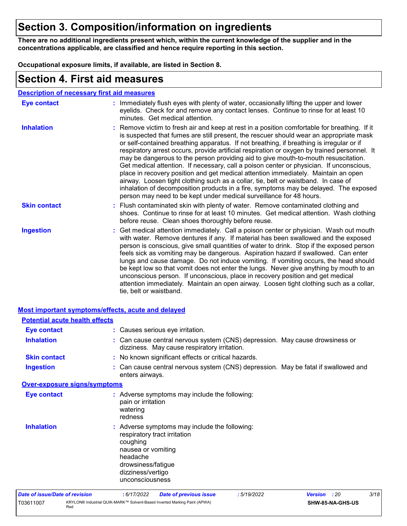# **Section 3. Composition/information on ingredients**

**There are no additional ingredients present which, within the current knowledge of the supplier and in the concentrations applicable, are classified and hence require reporting in this section.**

**Occupational exposure limits, if available, are listed in Section 8.**

### **Section 4. First aid measures**

| <b>Description of necessary first aid measures</b> |
|----------------------------------------------------|
|----------------------------------------------------|

| <b>Eye contact</b>  | : Immediately flush eyes with plenty of water, occasionally lifting the upper and lower<br>eyelids. Check for and remove any contact lenses. Continue to rinse for at least 10<br>minutes. Get medical attention.                                                                                                                                                                                                                                                                                                                                                                                                                                                                                                                                                                                                                                                                                              |
|---------------------|----------------------------------------------------------------------------------------------------------------------------------------------------------------------------------------------------------------------------------------------------------------------------------------------------------------------------------------------------------------------------------------------------------------------------------------------------------------------------------------------------------------------------------------------------------------------------------------------------------------------------------------------------------------------------------------------------------------------------------------------------------------------------------------------------------------------------------------------------------------------------------------------------------------|
| <b>Inhalation</b>   | : Remove victim to fresh air and keep at rest in a position comfortable for breathing. If it<br>is suspected that fumes are still present, the rescuer should wear an appropriate mask<br>or self-contained breathing apparatus. If not breathing, if breathing is irregular or if<br>respiratory arrest occurs, provide artificial respiration or oxygen by trained personnel. It<br>may be dangerous to the person providing aid to give mouth-to-mouth resuscitation.<br>Get medical attention. If necessary, call a poison center or physician. If unconscious,<br>place in recovery position and get medical attention immediately. Maintain an open<br>airway. Loosen tight clothing such as a collar, tie, belt or waistband. In case of<br>inhalation of decomposition products in a fire, symptoms may be delayed. The exposed<br>person may need to be kept under medical surveillance for 48 hours. |
| <b>Skin contact</b> | : Flush contaminated skin with plenty of water. Remove contaminated clothing and<br>shoes. Continue to rinse for at least 10 minutes. Get medical attention. Wash clothing<br>before reuse. Clean shoes thoroughly before reuse.                                                                                                                                                                                                                                                                                                                                                                                                                                                                                                                                                                                                                                                                               |
| <b>Ingestion</b>    | : Get medical attention immediately. Call a poison center or physician. Wash out mouth<br>with water. Remove dentures if any. If material has been swallowed and the exposed<br>person is conscious, give small quantities of water to drink. Stop if the exposed person<br>feels sick as vomiting may be dangerous. Aspiration hazard if swallowed. Can enter<br>lungs and cause damage. Do not induce vomiting. If vomiting occurs, the head should<br>be kept low so that vomit does not enter the lungs. Never give anything by mouth to an<br>unconscious person. If unconscious, place in recovery position and get medical<br>attention immediately. Maintain an open airway. Loosen tight clothing such as a collar,<br>tie, belt or waistband.                                                                                                                                                        |

| <b>Most important symptoms/effects, acute and delayed</b> |                                                                                                                                                                                           |
|-----------------------------------------------------------|-------------------------------------------------------------------------------------------------------------------------------------------------------------------------------------------|
| <b>Potential acute health effects</b>                     |                                                                                                                                                                                           |
| <b>Eye contact</b>                                        | : Causes serious eye irritation.                                                                                                                                                          |
| <b>Inhalation</b>                                         | : Can cause central nervous system (CNS) depression. May cause drowsiness or<br>dizziness. May cause respiratory irritation.                                                              |
| <b>Skin contact</b>                                       | : No known significant effects or critical hazards.                                                                                                                                       |
| <b>Ingestion</b>                                          | : Can cause central nervous system (CNS) depression. May be fatal if swallowed and<br>enters airways.                                                                                     |
| <b>Over-exposure signs/symptoms</b>                       |                                                                                                                                                                                           |
| <b>Eye contact</b>                                        | : Adverse symptoms may include the following:<br>pain or irritation<br>watering<br>redness                                                                                                |
| <b>Inhalation</b>                                         | : Adverse symptoms may include the following:<br>respiratory tract irritation<br>coughing<br>nausea or vomiting<br>headache<br>drowsiness/fatigue<br>dizziness/vertigo<br>unconsciousness |
| Date of issue/Date of revision                            | 3/18<br>: 6/17/2022<br>:5/19/2022<br><b>Date of previous issue</b><br><b>Version</b><br>: 20                                                                                              |

| Date of Issue/Date of revision | KRYLON® Industrial QUIK-MARK™ Solvent-Based Inverted Marking Paint (APWA) | : 6/1 //2022 | <b>Date of previous issue</b> | : 5/19/2022 | <b>Version</b> | - 20             |
|--------------------------------|---------------------------------------------------------------------------|--------------|-------------------------------|-------------|----------------|------------------|
| T03611007                      | Rec                                                                       |              |                               |             |                | SHW-85-NA-GHS-US |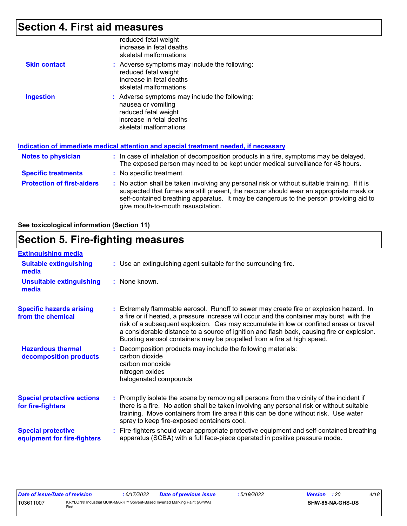## **Section 4. First aid measures**

|                     | reduced fetal weight<br>increase in fetal deaths<br>skeletal malformations                                                                        |
|---------------------|---------------------------------------------------------------------------------------------------------------------------------------------------|
| <b>Skin contact</b> | : Adverse symptoms may include the following:<br>reduced fetal weight<br>increase in fetal deaths<br>skeletal malformations                       |
| <b>Ingestion</b>    | : Adverse symptoms may include the following:<br>nausea or vomiting<br>reduced fetal weight<br>increase in fetal deaths<br>skeletal malformations |

|                                   | Indication of immediate medical attention and special treatment needed, if necessary                                                                                                                                                                                                                                    |  |
|-----------------------------------|-------------------------------------------------------------------------------------------------------------------------------------------------------------------------------------------------------------------------------------------------------------------------------------------------------------------------|--|
| <b>Notes to physician</b>         | : In case of inhalation of decomposition products in a fire, symptoms may be delayed.<br>The exposed person may need to be kept under medical surveillance for 48 hours.                                                                                                                                                |  |
| <b>Specific treatments</b>        | : No specific treatment.                                                                                                                                                                                                                                                                                                |  |
| <b>Protection of first-aiders</b> | : No action shall be taken involving any personal risk or without suitable training. If it is<br>suspected that fumes are still present, the rescuer should wear an appropriate mask or<br>self-contained breathing apparatus. It may be dangerous to the person providing aid to<br>give mouth-to-mouth resuscitation. |  |

### **See toxicological information (Section 11)**

# **Section 5. Fire-fighting measures**

| <b>Extinguishing media</b>                               |                                                                                                                                                                                                                                                                                                                                                                                                                                                       |
|----------------------------------------------------------|-------------------------------------------------------------------------------------------------------------------------------------------------------------------------------------------------------------------------------------------------------------------------------------------------------------------------------------------------------------------------------------------------------------------------------------------------------|
| <b>Suitable extinguishing</b><br>media                   | : Use an extinguishing agent suitable for the surrounding fire.                                                                                                                                                                                                                                                                                                                                                                                       |
| <b>Unsuitable extinguishing</b><br>media                 | : None known.                                                                                                                                                                                                                                                                                                                                                                                                                                         |
| <b>Specific hazards arising</b><br>from the chemical     | : Extremely flammable aerosol. Runoff to sewer may create fire or explosion hazard. In<br>a fire or if heated, a pressure increase will occur and the container may burst, with the<br>risk of a subsequent explosion. Gas may accumulate in low or confined areas or travel<br>a considerable distance to a source of ignition and flash back, causing fire or explosion.<br>Bursting aerosol containers may be propelled from a fire at high speed. |
| <b>Hazardous thermal</b><br>decomposition products       | Decomposition products may include the following materials:<br>carbon dioxide<br>carbon monoxide<br>nitrogen oxides<br>halogenated compounds                                                                                                                                                                                                                                                                                                          |
| <b>Special protective actions</b><br>for fire-fighters   | : Promptly isolate the scene by removing all persons from the vicinity of the incident if<br>there is a fire. No action shall be taken involving any personal risk or without suitable<br>training. Move containers from fire area if this can be done without risk. Use water<br>spray to keep fire-exposed containers cool.                                                                                                                         |
| <b>Special protective</b><br>equipment for fire-fighters | : Fire-fighters should wear appropriate protective equipment and self-contained breathing<br>apparatus (SCBA) with a full face-piece operated in positive pressure mode.                                                                                                                                                                                                                                                                              |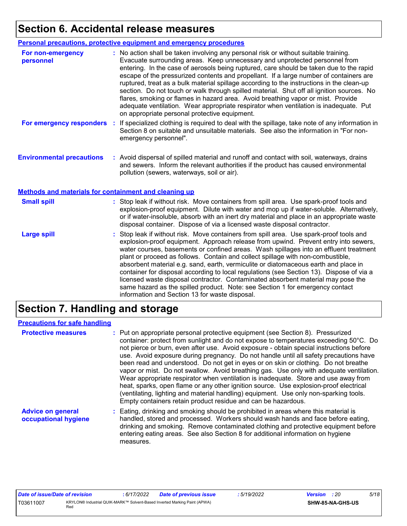# **Section 6. Accidental release measures**

|                                                       | <b>Personal precautions, protective equipment and emergency procedures</b>                                                                                                                                                                                                                                                                                                                                                                                                                                                                                                                                                                                                                                                                                                       |  |  |  |
|-------------------------------------------------------|----------------------------------------------------------------------------------------------------------------------------------------------------------------------------------------------------------------------------------------------------------------------------------------------------------------------------------------------------------------------------------------------------------------------------------------------------------------------------------------------------------------------------------------------------------------------------------------------------------------------------------------------------------------------------------------------------------------------------------------------------------------------------------|--|--|--|
| For non-emergency<br>personnel                        | : No action shall be taken involving any personal risk or without suitable training.<br>Evacuate surrounding areas. Keep unnecessary and unprotected personnel from<br>entering. In the case of aerosols being ruptured, care should be taken due to the rapid<br>escape of the pressurized contents and propellant. If a large number of containers are<br>ruptured, treat as a bulk material spillage according to the instructions in the clean-up<br>section. Do not touch or walk through spilled material. Shut off all ignition sources. No<br>flares, smoking or flames in hazard area. Avoid breathing vapor or mist. Provide<br>adequate ventilation. Wear appropriate respirator when ventilation is inadequate. Put<br>on appropriate personal protective equipment. |  |  |  |
| For emergency responders                              | If specialized clothing is required to deal with the spillage, take note of any information in<br>$\mathcal{L}^{\mathcal{A}}$<br>Section 8 on suitable and unsuitable materials. See also the information in "For non-<br>emergency personnel".                                                                                                                                                                                                                                                                                                                                                                                                                                                                                                                                  |  |  |  |
| <b>Environmental precautions</b>                      | : Avoid dispersal of spilled material and runoff and contact with soil, waterways, drains<br>and sewers. Inform the relevant authorities if the product has caused environmental<br>pollution (sewers, waterways, soil or air).                                                                                                                                                                                                                                                                                                                                                                                                                                                                                                                                                  |  |  |  |
| Methods and materials for containment and cleaning up |                                                                                                                                                                                                                                                                                                                                                                                                                                                                                                                                                                                                                                                                                                                                                                                  |  |  |  |
| <b>Small spill</b>                                    | : Stop leak if without risk. Move containers from spill area. Use spark-proof tools and<br>explosion-proof equipment. Dilute with water and mop up if water-soluble. Alternatively,<br>or if water-insoluble, absorb with an inert dry material and place in an appropriate waste<br>disposal container. Dispose of via a licensed waste disposal contractor.                                                                                                                                                                                                                                                                                                                                                                                                                    |  |  |  |
| <b>Large spill</b>                                    | : Stop leak if without risk. Move containers from spill area. Use spark-proof tools and<br>explosion-proof equipment. Approach release from upwind. Prevent entry into sewers,<br>water courses, basements or confined areas. Wash spillages into an effluent treatment<br>plant or proceed as follows. Contain and collect spillage with non-combustible,<br>absorbent material e.g. sand, earth, vermiculite or diatomaceous earth and place in<br>container for disposal according to local regulations (see Section 13). Dispose of via a<br>licensed waste disposal contractor. Contaminated absorbent material may pose the<br>same hazard as the spilled product. Note: see Section 1 for emergency contact<br>information and Section 13 for waste disposal.             |  |  |  |

# **Section 7. Handling and storage**

### **Precautions for safe handling**

| <b>Protective measures</b>                       | : Put on appropriate personal protective equipment (see Section 8). Pressurized<br>container: protect from sunlight and do not expose to temperatures exceeding 50°C. Do<br>not pierce or burn, even after use. Avoid exposure - obtain special instructions before<br>use. Avoid exposure during pregnancy. Do not handle until all safety precautions have<br>been read and understood. Do not get in eyes or on skin or clothing. Do not breathe<br>vapor or mist. Do not swallow. Avoid breathing gas. Use only with adequate ventilation.<br>Wear appropriate respirator when ventilation is inadequate. Store and use away from<br>heat, sparks, open flame or any other ignition source. Use explosion-proof electrical<br>(ventilating, lighting and material handling) equipment. Use only non-sparking tools.<br>Empty containers retain product residue and can be hazardous. |
|--------------------------------------------------|------------------------------------------------------------------------------------------------------------------------------------------------------------------------------------------------------------------------------------------------------------------------------------------------------------------------------------------------------------------------------------------------------------------------------------------------------------------------------------------------------------------------------------------------------------------------------------------------------------------------------------------------------------------------------------------------------------------------------------------------------------------------------------------------------------------------------------------------------------------------------------------|
| <b>Advice on general</b><br>occupational hygiene | : Eating, drinking and smoking should be prohibited in areas where this material is<br>handled, stored and processed. Workers should wash hands and face before eating,<br>drinking and smoking. Remove contaminated clothing and protective equipment before<br>entering eating areas. See also Section 8 for additional information on hygiene<br>measures.                                                                                                                                                                                                                                                                                                                                                                                                                                                                                                                            |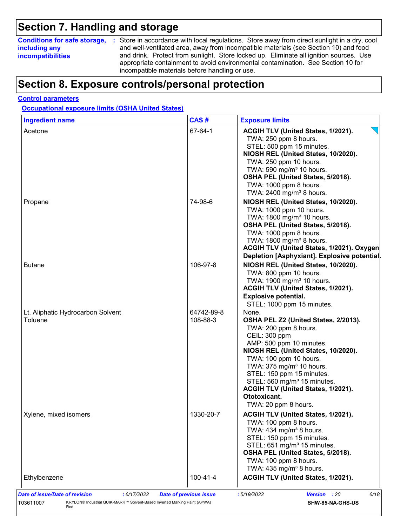## **Section 7. Handling and storage**

### **including any incompatibilities**

**Conditions for safe storage,** : Store in accordance with local regulations. Store away from direct sunlight in a dry, cool and well-ventilated area, away from incompatible materials (see Section 10) and food and drink. Protect from sunlight. Store locked up. Eliminate all ignition sources. Use appropriate containment to avoid environmental contamination. See Section 10 for incompatible materials before handling or use.

# **Section 8. Exposure controls/personal protection**

### **Control parameters**

**Occupational exposure limits (OSHA United States)**

| <b>Ingredient name</b>                       | CAS#                   | <b>Exposure limits</b>                                                                                                                                                                                                                                                                                                                                                             |
|----------------------------------------------|------------------------|------------------------------------------------------------------------------------------------------------------------------------------------------------------------------------------------------------------------------------------------------------------------------------------------------------------------------------------------------------------------------------|
| Acetone                                      | 67-64-1                | ACGIH TLV (United States, 1/2021).<br>TWA: 250 ppm 8 hours.<br>STEL: 500 ppm 15 minutes.<br>NIOSH REL (United States, 10/2020).<br>TWA: 250 ppm 10 hours.<br>TWA: 590 mg/m <sup>3</sup> 10 hours.<br>OSHA PEL (United States, 5/2018).<br>TWA: 1000 ppm 8 hours.<br>TWA: 2400 mg/m <sup>3</sup> 8 hours.                                                                           |
| Propane                                      | 74-98-6                | NIOSH REL (United States, 10/2020).<br>TWA: 1000 ppm 10 hours.<br>TWA: 1800 mg/m <sup>3</sup> 10 hours.<br>OSHA PEL (United States, 5/2018).<br>TWA: 1000 ppm 8 hours.<br>TWA: 1800 mg/m <sup>3</sup> 8 hours.<br>ACGIH TLV (United States, 1/2021). Oxygen<br>Depletion [Asphyxiant]. Explosive potential.                                                                        |
| <b>Butane</b>                                | 106-97-8               | NIOSH REL (United States, 10/2020).<br>TWA: 800 ppm 10 hours.<br>TWA: 1900 mg/m <sup>3</sup> 10 hours.<br>ACGIH TLV (United States, 1/2021).<br><b>Explosive potential.</b><br>STEL: 1000 ppm 15 minutes.                                                                                                                                                                          |
| Lt. Aliphatic Hydrocarbon Solvent<br>Toluene | 64742-89-8<br>108-88-3 | None.<br>OSHA PEL Z2 (United States, 2/2013).<br>TWA: 200 ppm 8 hours.<br>CEIL: 300 ppm<br>AMP: 500 ppm 10 minutes.<br>NIOSH REL (United States, 10/2020).<br>TWA: 100 ppm 10 hours.<br>TWA: 375 mg/m <sup>3</sup> 10 hours.<br>STEL: 150 ppm 15 minutes.<br>STEL: 560 mg/m <sup>3</sup> 15 minutes.<br>ACGIH TLV (United States, 1/2021).<br>Ototoxicant.<br>TWA: 20 ppm 8 hours. |
| Xylene, mixed isomers                        | 1330-20-7              | ACGIH TLV (United States, 1/2021).<br>TWA: 100 ppm 8 hours.<br>TWA: $434$ mg/m <sup>3</sup> 8 hours.<br>STEL: 150 ppm 15 minutes.<br>STEL: 651 mg/m <sup>3</sup> 15 minutes.<br>OSHA PEL (United States, 5/2018).<br>TWA: 100 ppm 8 hours.<br>TWA: $435 \text{ mg/m}^3$ 8 hours.                                                                                                   |
| Ethylbenzene                                 | 100-41-4               | ACGIH TLV (United States, 1/2021).                                                                                                                                                                                                                                                                                                                                                 |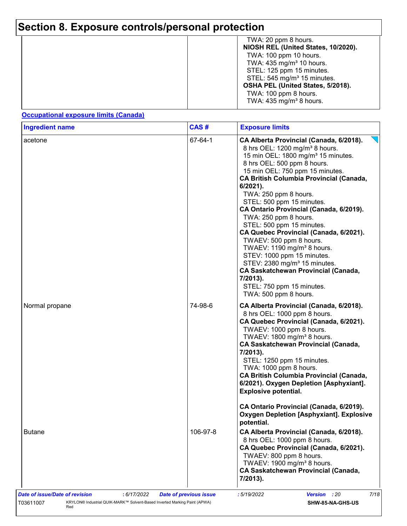| TWA: 20 ppm 8 hours.<br>NIOSH REL (United States, 10/2020).<br>TWA: 100 ppm 10 hours.<br>TWA: $435 \text{ mg/m}^3$ 10 hours.<br>STEL: 125 ppm 15 minutes.<br>STEL: 545 mg/m <sup>3</sup> 15 minutes.<br>OSHA PEL (United States, 5/2018).<br>TWA: 100 ppm 8 hours. |
|--------------------------------------------------------------------------------------------------------------------------------------------------------------------------------------------------------------------------------------------------------------------|
| TWA: $435 \text{ mg/m}^3$ 8 hours.                                                                                                                                                                                                                                 |

### **Occupational exposure limits (Canada)**

| <b>Ingredient name</b> | CAS#     | <b>Exposure limits</b><br>CA Alberta Provincial (Canada, 6/2018).<br>8 hrs OEL: 1200 mg/m <sup>3</sup> 8 hours.<br>15 min OEL: 1800 mg/m <sup>3</sup> 15 minutes.<br>8 hrs OEL: 500 ppm 8 hours.<br>15 min OEL: 750 ppm 15 minutes.<br><b>CA British Columbia Provincial (Canada,</b><br>$6/2021$ ).<br>TWA: 250 ppm 8 hours.<br>STEL: 500 ppm 15 minutes.<br>CA Ontario Provincial (Canada, 6/2019).<br>TWA: 250 ppm 8 hours.<br>STEL: 500 ppm 15 minutes.<br>CA Quebec Provincial (Canada, 6/2021).<br>TWAEV: 500 ppm 8 hours.<br>TWAEV: 1190 mg/m <sup>3</sup> 8 hours.<br>STEV: 1000 ppm 15 minutes.<br>STEV: 2380 mg/m <sup>3</sup> 15 minutes.<br><b>CA Saskatchewan Provincial (Canada,</b><br>7/2013).<br>STEL: 750 ppm 15 minutes.<br>TWA: 500 ppm 8 hours. |  |  |  |
|------------------------|----------|----------------------------------------------------------------------------------------------------------------------------------------------------------------------------------------------------------------------------------------------------------------------------------------------------------------------------------------------------------------------------------------------------------------------------------------------------------------------------------------------------------------------------------------------------------------------------------------------------------------------------------------------------------------------------------------------------------------------------------------------------------------------|--|--|--|
| acetone                | 67-64-1  |                                                                                                                                                                                                                                                                                                                                                                                                                                                                                                                                                                                                                                                                                                                                                                      |  |  |  |
| Normal propane         | 74-98-6  | CA Alberta Provincial (Canada, 6/2018).<br>8 hrs OEL: 1000 ppm 8 hours.<br>CA Quebec Provincial (Canada, 6/2021).<br>TWAEV: 1000 ppm 8 hours.<br>TWAEV: 1800 mg/m <sup>3</sup> 8 hours.<br><b>CA Saskatchewan Provincial (Canada,</b><br>7/2013).<br>STEL: 1250 ppm 15 minutes.<br>TWA: 1000 ppm 8 hours.<br><b>CA British Columbia Provincial (Canada,</b><br>6/2021). Oxygen Depletion [Asphyxiant].<br><b>Explosive potential.</b>                                                                                                                                                                                                                                                                                                                                |  |  |  |
|                        |          | CA Ontario Provincial (Canada, 6/2019).<br><b>Oxygen Depletion [Asphyxiant]. Explosive</b><br>potential.                                                                                                                                                                                                                                                                                                                                                                                                                                                                                                                                                                                                                                                             |  |  |  |
| <b>Butane</b>          | 106-97-8 | CA Alberta Provincial (Canada, 6/2018).<br>8 hrs OEL: 1000 ppm 8 hours.<br>CA Quebec Provincial (Canada, 6/2021).<br>TWAEV: 800 ppm 8 hours.<br>TWAEV: 1900 mg/m <sup>3</sup> 8 hours.<br><b>CA Saskatchewan Provincial (Canada,</b><br>7/2013).                                                                                                                                                                                                                                                                                                                                                                                                                                                                                                                     |  |  |  |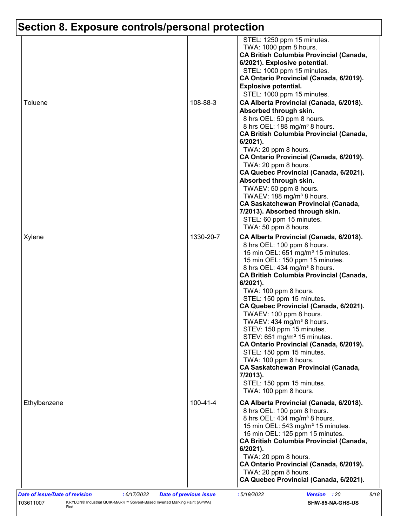| Toluene      | 108-88-3       | STEL: 1250 ppm 15 minutes.<br>TWA: 1000 ppm 8 hours.<br><b>CA British Columbia Provincial (Canada,</b><br>6/2021). Explosive potential.<br>STEL: 1000 ppm 15 minutes.<br>CA Ontario Provincial (Canada, 6/2019).<br><b>Explosive potential.</b><br>STEL: 1000 ppm 15 minutes.<br>CA Alberta Provincial (Canada, 6/2018).<br>Absorbed through skin.<br>8 hrs OEL: 50 ppm 8 hours.<br>8 hrs OEL: 188 mg/m <sup>3</sup> 8 hours.<br><b>CA British Columbia Provincial (Canada,</b><br>$6/2021$ ).<br>TWA: 20 ppm 8 hours. |
|--------------|----------------|------------------------------------------------------------------------------------------------------------------------------------------------------------------------------------------------------------------------------------------------------------------------------------------------------------------------------------------------------------------------------------------------------------------------------------------------------------------------------------------------------------------------|
| Xylene       | 1330-20-7      | CA Ontario Provincial (Canada, 6/2019).<br>TWA: 20 ppm 8 hours.<br>CA Quebec Provincial (Canada, 6/2021).<br>Absorbed through skin.<br>TWAEV: 50 ppm 8 hours.<br>TWAEV: 188 mg/m <sup>3</sup> 8 hours.<br><b>CA Saskatchewan Provincial (Canada,</b><br>7/2013). Absorbed through skin.<br>STEL: 60 ppm 15 minutes.<br>TWA: 50 ppm 8 hours.<br>CA Alberta Provincial (Canada, 6/2018).                                                                                                                                 |
|              |                | 8 hrs OEL: 100 ppm 8 hours.<br>15 min OEL: 651 mg/m <sup>3</sup> 15 minutes.<br>15 min OEL: 150 ppm 15 minutes.<br>8 hrs OEL: 434 mg/m <sup>3</sup> 8 hours.<br><b>CA British Columbia Provincial (Canada,</b><br>6/2021).<br>TWA: 100 ppm 8 hours.<br>STEL: 150 ppm 15 minutes.<br>CA Quebec Provincial (Canada, 6/2021).<br>TWAEV: 100 ppm 8 hours.<br>TWAEV: 434 mg/m <sup>3</sup> 8 hours.                                                                                                                         |
|              |                | STEV: 150 ppm 15 minutes.<br>STEV: 651 mg/m <sup>3</sup> 15 minutes.<br>CA Ontario Provincial (Canada, 6/2019).<br>STEL: 150 ppm 15 minutes.<br>TWA: 100 ppm 8 hours.<br><b>CA Saskatchewan Provincial (Canada,</b><br>7/2013).<br>STEL: 150 ppm 15 minutes.<br>TWA: 100 ppm 8 hours.                                                                                                                                                                                                                                  |
| Ethylbenzene | $100 - 41 - 4$ | CA Alberta Provincial (Canada, 6/2018).<br>8 hrs OEL: 100 ppm 8 hours.<br>8 hrs OEL: 434 mg/m <sup>3</sup> 8 hours.<br>15 min OEL: 543 mg/m <sup>3</sup> 15 minutes.<br>15 min OEL: 125 ppm 15 minutes.<br><b>CA British Columbia Provincial (Canada,</b><br>$6/2021$ ).<br>TWA: 20 ppm 8 hours.<br>CA Ontario Provincial (Canada, 6/2019).<br>TWA: 20 ppm 8 hours.<br>CA Quebec Provincial (Canada, 6/2021).                                                                                                          |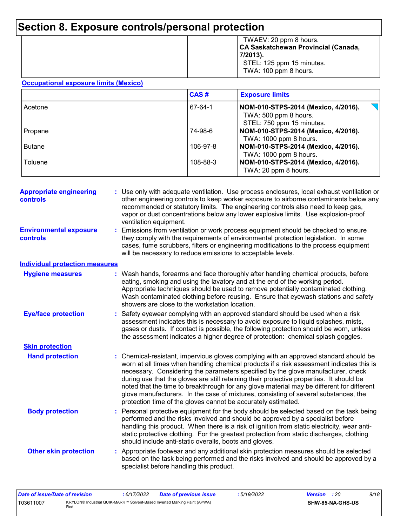|  | TWAEV: 20 ppm 8 hours.<br>CA Saskatchewan Provincial (Canada,<br>7/2013).<br>STEL: 125 ppm 15 minutes.<br>TWA: 100 ppm 8 hours. |
|--|---------------------------------------------------------------------------------------------------------------------------------|
|--|---------------------------------------------------------------------------------------------------------------------------------|

#### **Occupational exposure limits (Mexico)**

|               | CAS#     | <b>Exposure limits</b>                                                                    |  |  |  |
|---------------|----------|-------------------------------------------------------------------------------------------|--|--|--|
| Acetone       | 67-64-1  | NOM-010-STPS-2014 (Mexico, 4/2016).<br>TWA: 500 ppm 8 hours.<br>STEL: 750 ppm 15 minutes. |  |  |  |
| Propane       | 74-98-6  | NOM-010-STPS-2014 (Mexico, 4/2016).<br>TWA: 1000 ppm 8 hours.                             |  |  |  |
| <b>Butane</b> | 106-97-8 | NOM-010-STPS-2014 (Mexico, 4/2016).<br>TWA: 1000 ppm 8 hours.                             |  |  |  |
| Toluene       | 108-88-3 | NOM-010-STPS-2014 (Mexico, 4/2016).<br>TWA: 20 ppm 8 hours.                               |  |  |  |

| <b>Appropriate engineering</b><br><b>controls</b> | : Use only with adequate ventilation. Use process enclosures, local exhaust ventilation or<br>other engineering controls to keep worker exposure to airborne contaminants below any<br>recommended or statutory limits. The engineering controls also need to keep gas,<br>vapor or dust concentrations below any lower explosive limits. Use explosion-proof<br>ventilation equipment. |                                                                                                                                                                                                                                                                                                                                                                                                                                                                                                                                                                                                                        |  |  |  |
|---------------------------------------------------|-----------------------------------------------------------------------------------------------------------------------------------------------------------------------------------------------------------------------------------------------------------------------------------------------------------------------------------------------------------------------------------------|------------------------------------------------------------------------------------------------------------------------------------------------------------------------------------------------------------------------------------------------------------------------------------------------------------------------------------------------------------------------------------------------------------------------------------------------------------------------------------------------------------------------------------------------------------------------------------------------------------------------|--|--|--|
| <b>Environmental exposure</b><br>controls         |                                                                                                                                                                                                                                                                                                                                                                                         | Emissions from ventilation or work process equipment should be checked to ensure<br>they comply with the requirements of environmental protection legislation. In some<br>cases, fume scrubbers, filters or engineering modifications to the process equipment<br>will be necessary to reduce emissions to acceptable levels.                                                                                                                                                                                                                                                                                          |  |  |  |
| <b>Individual protection measures</b>             |                                                                                                                                                                                                                                                                                                                                                                                         |                                                                                                                                                                                                                                                                                                                                                                                                                                                                                                                                                                                                                        |  |  |  |
| <b>Hygiene measures</b>                           |                                                                                                                                                                                                                                                                                                                                                                                         | : Wash hands, forearms and face thoroughly after handling chemical products, before<br>eating, smoking and using the lavatory and at the end of the working period.<br>Appropriate techniques should be used to remove potentially contaminated clothing.<br>Wash contaminated clothing before reusing. Ensure that eyewash stations and safety<br>showers are close to the workstation location.                                                                                                                                                                                                                      |  |  |  |
| <b>Eye/face protection</b>                        |                                                                                                                                                                                                                                                                                                                                                                                         | Safety eyewear complying with an approved standard should be used when a risk<br>assessment indicates this is necessary to avoid exposure to liquid splashes, mists,<br>gases or dusts. If contact is possible, the following protection should be worn, unless<br>the assessment indicates a higher degree of protection: chemical splash goggles.                                                                                                                                                                                                                                                                    |  |  |  |
| <b>Skin protection</b>                            |                                                                                                                                                                                                                                                                                                                                                                                         |                                                                                                                                                                                                                                                                                                                                                                                                                                                                                                                                                                                                                        |  |  |  |
| <b>Hand protection</b>                            |                                                                                                                                                                                                                                                                                                                                                                                         | : Chemical-resistant, impervious gloves complying with an approved standard should be<br>worn at all times when handling chemical products if a risk assessment indicates this is<br>necessary. Considering the parameters specified by the glove manufacturer, check<br>during use that the gloves are still retaining their protective properties. It should be<br>noted that the time to breakthrough for any glove material may be different for different<br>glove manufacturers. In the case of mixtures, consisting of several substances, the<br>protection time of the gloves cannot be accurately estimated. |  |  |  |
| <b>Body protection</b>                            |                                                                                                                                                                                                                                                                                                                                                                                         | : Personal protective equipment for the body should be selected based on the task being<br>performed and the risks involved and should be approved by a specialist before<br>handling this product. When there is a risk of ignition from static electricity, wear anti-<br>static protective clothing. For the greatest protection from static discharges, clothing<br>should include anti-static overalls, boots and gloves.                                                                                                                                                                                         |  |  |  |
| <b>Other skin protection</b>                      |                                                                                                                                                                                                                                                                                                                                                                                         | : Appropriate footwear and any additional skin protection measures should be selected<br>based on the task being performed and the risks involved and should be approved by a<br>specialist before handling this product.                                                                                                                                                                                                                                                                                                                                                                                              |  |  |  |

| Date of issue/Date of revision |                                                                                  | : 6/17/2022 | <b>Date of previous issue</b> | 5/19/2022 | <b>Version</b> : 20 |                         | 9/18 |
|--------------------------------|----------------------------------------------------------------------------------|-------------|-------------------------------|-----------|---------------------|-------------------------|------|
| T03611007                      | KRYLON® Industrial QUIK-MARK™ Solvent-Based Inverted Marking Paint (APWA)<br>Rea |             |                               |           |                     | <b>SHW-85-NA-GHS-US</b> |      |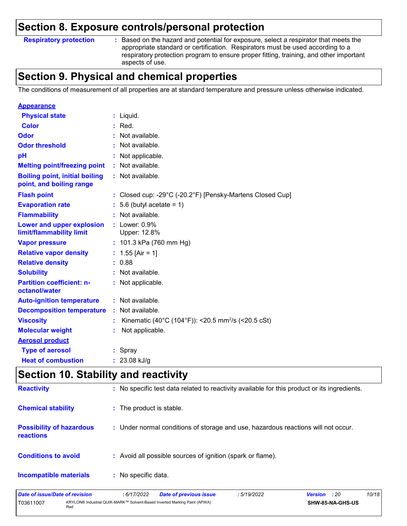**Respiratory protection :**

: Based on the hazard and potential for exposure, select a respirator that meets the appropriate standard or certification. Respirators must be used according to a respiratory protection program to ensure proper fitting, training, and other important aspects of use.

## **Section 9. Physical and chemical properties**

The conditions of measurement of all properties are at standard temperature and pressure unless otherwise indicated.

| <b>Appearance</b>                                                 |                                                                |
|-------------------------------------------------------------------|----------------------------------------------------------------|
| <b>Physical state</b>                                             | $:$ Liquid.                                                    |
| <b>Color</b>                                                      | $:$ Red.                                                       |
| Odor                                                              | : Not available.                                               |
| <b>Odor threshold</b>                                             | Not available.                                                 |
| pH                                                                | Not applicable.                                                |
| <b>Melting point/freezing point</b>                               | : Not available.                                               |
| <b>Boiling point, initial boiling</b><br>point, and boiling range | : Not available.                                               |
| <b>Flash point</b>                                                | : Closed cup: -29°C (-20.2°F) [Pensky-Martens Closed Cup]      |
| <b>Evaporation rate</b>                                           | $: 5.6$ (butyl acetate = 1)                                    |
| <b>Flammability</b>                                               | $:$ Not available.                                             |
| Lower and upper explosion<br>limit/flammability limit             | $:$ Lower: $0.9\%$<br>Upper: 12.8%                             |
| <b>Vapor pressure</b>                                             | : $101.3$ kPa (760 mm Hg)                                      |
| <b>Relative vapor density</b>                                     | : $1.55$ [Air = 1]                                             |
| <b>Relative density</b>                                           | : 0.88                                                         |
| <b>Solubility</b>                                                 | Not available.                                                 |
| <b>Partition coefficient: n-</b><br>octanol/water                 | : Not applicable.                                              |
| <b>Auto-ignition temperature</b>                                  | : Not available.                                               |
| <b>Decomposition temperature</b>                                  | Not available.                                                 |
| <b>Viscosity</b>                                                  | Kinematic (40°C (104°F)): <20.5 mm <sup>2</sup> /s (<20.5 cSt) |
| <b>Molecular weight</b>                                           | Not applicable.                                                |
| <b>Aerosol product</b>                                            |                                                                |
| <b>Type of aerosol</b>                                            | : Spray                                                        |
| <b>Heat of combustion</b>                                         | $: 23.08$ kJ/g                                                 |

## **Section 10. Stability and reactivity**

| <b>Reactivity</b>                            | : No specific test data related to reactivity available for this product or its ingredients. |
|----------------------------------------------|----------------------------------------------------------------------------------------------|
| <b>Chemical stability</b>                    | : The product is stable.                                                                     |
| <b>Possibility of hazardous</b><br>reactions | : Under normal conditions of storage and use, hazardous reactions will not occur.            |
| <b>Conditions to avoid</b>                   | : Avoid all possible sources of ignition (spark or flame).                                   |
| <b>Incompatible materials</b>                | : No specific data.                                                                          |

| Date of issue/Date of revision |     | 6/17/2022 | <b>Date of previous issue</b>                                             | : 5/19/2022 | <b>Version</b> : 20 |                         | 10/18 |
|--------------------------------|-----|-----------|---------------------------------------------------------------------------|-------------|---------------------|-------------------------|-------|
| T03611007                      | Rec |           | KRYLON® Industrial QUIK-MARK™ Solvent-Based Inverted Marking Paint (APWA) |             |                     | <b>SHW-85-NA-GHS-US</b> |       |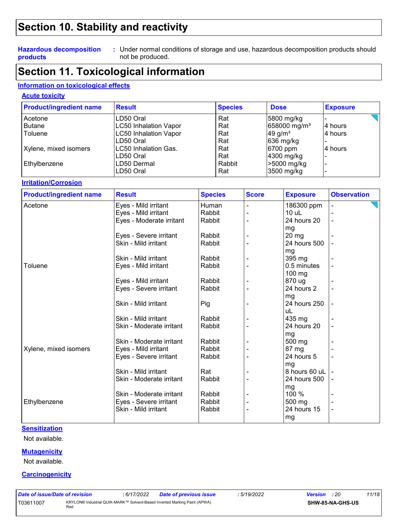## **Section 10. Stability and reactivity**

#### **Hazardous decomposition products**

Under normal conditions of storage and use, hazardous decomposition products should **:** not be produced.

## **Section 11. Toxicological information**

### **Information on toxicological effects**

### **Acute toxicity**

| <b>Product/ingredient name</b> | <b>Result</b>                | <b>Species</b> | <b>Dose</b>              | <b>Exposure</b> |
|--------------------------------|------------------------------|----------------|--------------------------|-----------------|
| l Acetone                      | LD50 Oral                    | Rat            | 5800 mg/kg               |                 |
| Butane                         | LC50 Inhalation Vapor        | Rat            | 658000 mg/m <sup>3</sup> | l4 hours        |
| Toluene                        | <b>LC50 Inhalation Vapor</b> | Rat            | 49 g/ $m3$               | l4 hours        |
|                                | LD50 Oral                    | Rat            | 636 mg/kg                |                 |
| Xylene, mixed isomers          | LC50 Inhalation Gas.         | Rat            | 6700 ppm                 | 4 hours         |
|                                | LD50 Oral                    | Rat            | 4300 mg/kg               |                 |
| Ethylbenzene                   | LD50 Dermal                  | Rabbit         | $\geq 5000$ mg/kg        |                 |
|                                | LD50 Oral                    | Rat            | 3500 mg/kg               |                 |

#### **Irritation/Corrosion**

| <b>Product/ingredient name</b> | <b>Result</b>            | <b>Species</b> | <b>Score</b> | <b>Exposure</b>  | <b>Observation</b> |
|--------------------------------|--------------------------|----------------|--------------|------------------|--------------------|
| Acetone                        | Eyes - Mild irritant     | Human          |              | 186300 ppm       |                    |
|                                | Eyes - Mild irritant     | Rabbit         |              | 10 uL            |                    |
|                                | Eyes - Moderate irritant | Rabbit         |              | 24 hours 20      | $\blacksquare$     |
|                                |                          |                |              | mg               |                    |
|                                | Eyes - Severe irritant   | Rabbit         |              | 20 <sub>mg</sub> |                    |
|                                | Skin - Mild irritant     | Rabbit         |              | 24 hours 500     |                    |
|                                |                          |                |              | mg               |                    |
|                                | Skin - Mild irritant     | Rabbit         |              | 395 mg           |                    |
| <b>Toluene</b>                 | Eyes - Mild irritant     | Rabbit         |              | 0.5 minutes      |                    |
|                                |                          |                |              | $100$ mg         |                    |
|                                | Eyes - Mild irritant     | Rabbit         |              | 870 ug           |                    |
|                                | Eyes - Severe irritant   | Rabbit         |              | 24 hours 2       |                    |
|                                |                          |                |              | mg               |                    |
|                                | Skin - Mild irritant     | Pig            |              | 24 hours 250     |                    |
|                                |                          |                |              | uL               |                    |
|                                | Skin - Mild irritant     | Rabbit         |              | 435 mg           |                    |
|                                | Skin - Moderate irritant | Rabbit         |              | 24 hours 20      |                    |
|                                |                          |                |              | mg               |                    |
|                                | Skin - Moderate irritant | Rabbit         |              | 500 mg           |                    |
| Xylene, mixed isomers          | Eyes - Mild irritant     | Rabbit         |              | 87 mg            |                    |
|                                | Eyes - Severe irritant   | Rabbit         |              | 24 hours 5       |                    |
|                                |                          |                |              | mg               |                    |
|                                | Skin - Mild irritant     | Rat            |              | 8 hours 60 uL    |                    |
|                                | Skin - Moderate irritant | Rabbit         |              | 24 hours 500     |                    |
|                                |                          |                |              | mg               |                    |
|                                | Skin - Moderate irritant | Rabbit         |              | 100 %            |                    |
| Ethylbenzene                   | Eyes - Severe irritant   | Rabbit         |              | 500 mg           |                    |
|                                | Skin - Mild irritant     | Rabbit         |              | 24 hours 15      |                    |
|                                |                          |                |              | mg               |                    |

#### **Sensitization**

Not available.

#### **Mutagenicity**

Not available.

#### **Carcinogenicity**

| Date of issue/Date of revision |     | : 6/17/2022 | <b>Date of previous issue</b>                                             | : 5/19/2022 | <b>Version</b> : 20 | 11/18 |
|--------------------------------|-----|-------------|---------------------------------------------------------------------------|-------------|---------------------|-------|
| T03611007                      | Red |             | KRYLON® Industrial QUIK-MARK™ Solvent-Based Inverted Marking Paint (APWA) |             | SHW-85-NA-GHS-US    |       |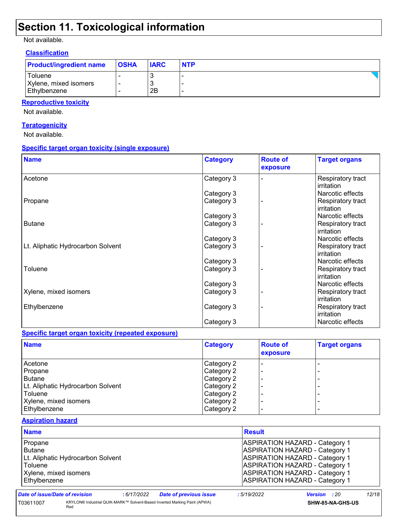# **Section 11. Toxicological information**

Not available.

#### **Classification**

| <b>Product/ingredient name</b> | <b>OSHA</b> | <b>IARC</b> | <b>NTP</b> |
|--------------------------------|-------------|-------------|------------|
| Toluene                        |             | w           |            |
| Xylene, mixed isomers          |             | N           |            |
| Ethylbenzene                   |             | 2Β          |            |

### **Reproductive toxicity**

Not available.

#### **Teratogenicity**

Not available.

#### **Specific target organ toxicity (single exposure)**

| <b>Name</b>                       | <b>Category</b> | <b>Route of</b><br>exposure | <b>Target organs</b>            |
|-----------------------------------|-----------------|-----------------------------|---------------------------------|
| Acetone                           | Category 3      |                             | Respiratory tract<br>irritation |
|                                   | Category 3      |                             | Narcotic effects                |
| Propane                           | Category 3      |                             | Respiratory tract<br>irritation |
|                                   | Category 3      |                             | Narcotic effects                |
| <b>Butane</b>                     | Category 3      |                             | Respiratory tract<br>irritation |
|                                   | Category 3      |                             | Narcotic effects                |
| Lt. Aliphatic Hydrocarbon Solvent | Category 3      |                             | Respiratory tract<br>irritation |
|                                   | Category 3      |                             | Narcotic effects                |
| Toluene                           | Category 3      |                             | Respiratory tract<br>irritation |
|                                   | Category 3      |                             | Narcotic effects                |
| Xylene, mixed isomers             | Category 3      |                             | Respiratory tract<br>irritation |
| Ethylbenzene                      | Category 3      |                             | Respiratory tract<br>irritation |
|                                   | Category 3      |                             | Narcotic effects                |

#### **Specific target organ toxicity (repeated exposure)**

| <b>Name</b>                       | <b>Category</b> | <b>Route of</b><br>exposure | <b>Target organs</b> |
|-----------------------------------|-----------------|-----------------------------|----------------------|
| Acetone                           | Category 2      |                             |                      |
| Propane                           | Category 2      |                             | -                    |
| Butane                            | Category 2      |                             | -                    |
| Lt. Aliphatic Hydrocarbon Solvent | Category 2      |                             | -                    |
| Toluene                           | Category 2      |                             |                      |
| Xylene, mixed isomers             | Category 2      |                             | -                    |
| Ethylbenzene                      | Category 2      |                             | -                    |

### **Aspiration hazard**

| <b>Name</b>                                                                  |                                   |            |                                                                           | <b>Result</b> |                                                                                                                                                                                                                                                    |       |
|------------------------------------------------------------------------------|-----------------------------------|------------|---------------------------------------------------------------------------|---------------|----------------------------------------------------------------------------------------------------------------------------------------------------------------------------------------------------------------------------------------------------|-------|
| Propane<br><b>Butane</b><br>Toluene<br>Xylene, mixed isomers<br>Ethylbenzene | Lt. Aliphatic Hydrocarbon Solvent |            |                                                                           |               | <b>ASPIRATION HAZARD - Category 1</b><br><b>ASPIRATION HAZARD - Category 1</b><br><b>ASPIRATION HAZARD - Category 1</b><br><b>ASPIRATION HAZARD - Category 1</b><br><b>ASPIRATION HAZARD - Category 1</b><br><b>ASPIRATION HAZARD - Category 1</b> |       |
| Date of issue/Date of revision                                               |                                   | :6/17/2022 | <b>Date of previous issue</b>                                             | :5/19/2022    | <b>Version</b> : 20                                                                                                                                                                                                                                | 12/18 |
| T03611007                                                                    | Red                               |            | KRYLON® Industrial QUIK-MARK™ Solvent-Based Inverted Marking Paint (APWA) |               | SHW-85-NA-GHS-US                                                                                                                                                                                                                                   |       |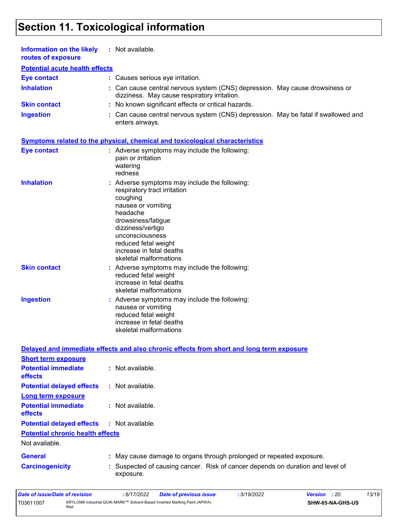# **Section 11. Toxicological information**

| <b>Information on the likely</b><br>routes of exposure | : Not available.                                                                                                                                                                                                                                                        |
|--------------------------------------------------------|-------------------------------------------------------------------------------------------------------------------------------------------------------------------------------------------------------------------------------------------------------------------------|
| <b>Potential acute health effects</b>                  |                                                                                                                                                                                                                                                                         |
| <b>Eye contact</b>                                     | : Causes serious eye irritation.                                                                                                                                                                                                                                        |
| <b>Inhalation</b>                                      | : Can cause central nervous system (CNS) depression. May cause drowsiness or<br>dizziness. May cause respiratory irritation.                                                                                                                                            |
| <b>Skin contact</b>                                    | : No known significant effects or critical hazards.                                                                                                                                                                                                                     |
| <b>Ingestion</b>                                       | : Can cause central nervous system (CNS) depression. May be fatal if swallowed and<br>enters airways.                                                                                                                                                                   |
|                                                        | <b>Symptoms related to the physical, chemical and toxicological characteristics</b>                                                                                                                                                                                     |
| <b>Eye contact</b>                                     | : Adverse symptoms may include the following:<br>pain or irritation<br>watering<br>redness                                                                                                                                                                              |
| <b>Inhalation</b>                                      | : Adverse symptoms may include the following:<br>respiratory tract irritation<br>coughing<br>nausea or vomiting<br>headache<br>drowsiness/fatigue<br>dizziness/vertigo<br>unconsciousness<br>reduced fetal weight<br>increase in fetal deaths<br>skeletal malformations |
| <b>Skin contact</b>                                    | : Adverse symptoms may include the following:<br>reduced fetal weight<br>increase in fetal deaths<br>skeletal malformations                                                                                                                                             |
| <b>Ingestion</b>                                       | : Adverse symptoms may include the following:<br>nausea or vomiting<br>reduced fetal weight<br>increase in fetal deaths<br>skeletal malformations                                                                                                                       |
|                                                        | Delayed and immediate effects and also chronic effects from short and long term exposure                                                                                                                                                                                |

| <b>Short term exposure</b>                        |                                                                                             |
|---------------------------------------------------|---------------------------------------------------------------------------------------------|
| <b>Potential immediate</b><br><b>effects</b>      | : Not available.                                                                            |
| <b>Potential delayed effects</b>                  | $:$ Not available.                                                                          |
| Long term exposure                                |                                                                                             |
| <b>Potential immediate</b><br><b>effects</b>      | : Not available.                                                                            |
| <b>Potential delayed effects : Not available.</b> |                                                                                             |
| <b>Potential chronic health effects</b>           |                                                                                             |
| Not available.                                    |                                                                                             |
| <b>General</b>                                    | : May cause damage to organs through prolonged or repeated exposure.                        |
| <b>Carcinogenicity</b>                            | : Suspected of causing cancer. Risk of cancer depends on duration and level of<br>exposure. |

| Date of issue/Date of revision |     | 6/17/2022 | Date of previous issue                                                    | 5/19/2022 | <b>Version</b> : 20 |                  | 13/18 |
|--------------------------------|-----|-----------|---------------------------------------------------------------------------|-----------|---------------------|------------------|-------|
| T03611007                      | Red |           | KRYLON® Industrial QUIK-MARK™ Solvent-Based Inverted Marking Paint (APWA) |           |                     | SHW-85-NA-GHS-US |       |

 $\blacksquare$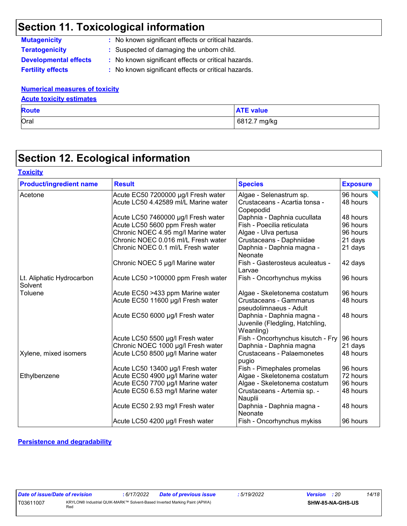# **Section 11. Toxicological information**

**Mutagenicity :** No known significant effects or critical hazards. **Teratogenicity :** Suspected of damaging the unborn child.

**Developmental effects :** No known significant effects or critical hazards.

**Fertility effects :** No known significant effects or critical hazards.

### **Numerical measures of toxicity**

### **Acute toxicity estimates**

| <b>Route</b> | <b>ATE value</b> |
|--------------|------------------|
| Oral         | 6812.7 mg/kg     |

# **Section 12. Ecological information**

| <b>Product/ingredient name</b>       | <b>Result</b><br><b>Species</b>      |                                                                           | <b>Exposure</b> |
|--------------------------------------|--------------------------------------|---------------------------------------------------------------------------|-----------------|
| Acetone                              | Acute EC50 7200000 µg/l Fresh water  | Algae - Selenastrum sp.                                                   | 96 hours        |
|                                      | Acute LC50 4.42589 ml/L Marine water | Crustaceans - Acartia tonsa -<br>Copepodid                                | 48 hours        |
|                                      | Acute LC50 7460000 µg/l Fresh water  | Daphnia - Daphnia cucullata                                               | 48 hours        |
|                                      | Acute LC50 5600 ppm Fresh water      | Fish - Poecilia reticulata                                                | 96 hours        |
|                                      | Chronic NOEC 4.95 mg/l Marine water  | Algae - Ulva pertusa                                                      | 96 hours        |
|                                      | Chronic NOEC 0.016 ml/L Fresh water  | Crustaceans - Daphniidae                                                  | 21 days         |
|                                      | Chronic NOEC 0.1 ml/L Fresh water    | Daphnia - Daphnia magna -<br>Neonate                                      | 21 days         |
|                                      | Chronic NOEC 5 µg/l Marine water     | Fish - Gasterosteus aculeatus -<br>Larvae                                 | 42 days         |
| Lt. Aliphatic Hydrocarbon<br>Solvent | Acute LC50 >100000 ppm Fresh water   | Fish - Oncorhynchus mykiss                                                | 96 hours        |
| Toluene                              | Acute EC50 >433 ppm Marine water     | Algae - Skeletonema costatum                                              | 96 hours        |
|                                      | Acute EC50 11600 µg/l Fresh water    | <b>Crustaceans - Gammarus</b><br>pseudolimnaeus - Adult                   | 48 hours        |
|                                      | Acute EC50 6000 µg/l Fresh water     | Daphnia - Daphnia magna -<br>Juvenile (Fledgling, Hatchling,<br>Weanling) | 48 hours        |
|                                      | Acute LC50 5500 µg/l Fresh water     | Fish - Oncorhynchus kisutch - Fry                                         | 96 hours        |
|                                      | Chronic NOEC 1000 µg/l Fresh water   | Daphnia - Daphnia magna                                                   | 21 days         |
| Xylene, mixed isomers                | Acute LC50 8500 µg/l Marine water    | Crustaceans - Palaemonetes<br>pugio                                       | 48 hours        |
|                                      | Acute LC50 13400 µg/l Fresh water    | Fish - Pimephales promelas                                                | 96 hours        |
| Ethylbenzene                         | Acute EC50 4900 µg/l Marine water    | Algae - Skeletonema costatum                                              | 72 hours        |
|                                      | Acute EC50 7700 µg/l Marine water    | Algae - Skeletonema costatum                                              | 96 hours        |
|                                      | Acute EC50 6.53 mg/l Marine water    | Crustaceans - Artemia sp. -<br>Nauplii                                    | 48 hours        |
|                                      | Acute EC50 2.93 mg/l Fresh water     | Daphnia - Daphnia magna -<br>Neonate                                      | 48 hours        |
|                                      | Acute LC50 4200 µg/l Fresh water     | Fish - Oncorhynchus mykiss                                                | 96 hours        |

### **Persistence and degradability**

| Date of issue/Date of revision |                                                                           | : 6/17/2022 | <b>Date of previous issue</b> | : 5/19/2022 | <b>Version</b> : 20 | 14/18 |
|--------------------------------|---------------------------------------------------------------------------|-------------|-------------------------------|-------------|---------------------|-------|
| T03611007                      | KRYLON® Industrial QUIK-MARK™ Solvent-Based Inverted Marking Paint (APWA) |             |                               |             | SHW-85-NA-GHS-US    |       |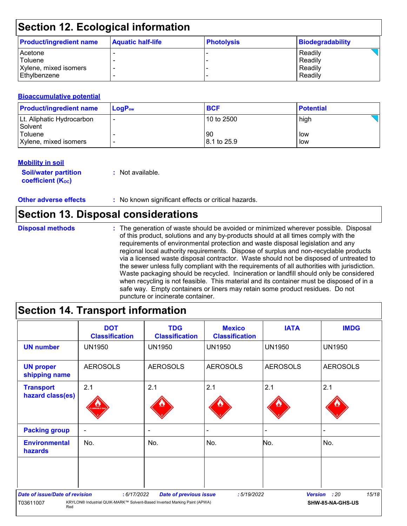# **Section 12. Ecological information**

| <b>Product/ingredient name</b> | <b>Aquatic half-life</b> | <b>Photolysis</b> | <b>Biodegradability</b> |
|--------------------------------|--------------------------|-------------------|-------------------------|
| Acetone                        |                          |                   | Readily                 |
| Toluene                        |                          |                   | Readily                 |
| Xylene, mixed isomers          | -                        |                   | Readily                 |
| l Ethvlbenzene                 |                          |                   | Readily                 |

#### **Bioaccumulative potential**

| <b>Product/ingredient name</b>       | $LoaPow$ | <b>BCF</b>        | <b>Potential</b> |
|--------------------------------------|----------|-------------------|------------------|
| Lt. Aliphatic Hydrocarbon<br>Solvent |          | 10 to 2500        | high             |
| Toluene<br>Xylene, mixed isomers     |          | 90<br>8.1 to 25.9 | low<br>low       |

### **Mobility in soil**

**Soil/water partition coefficient (K**<sub>oc</sub>)

**:** Not available.

**Other adverse effects :** No known significant effects or critical hazards.

### **Section 13. Disposal considerations**

The generation of waste should be avoided or minimized wherever possible. Disposal of this product, solutions and any by-products should at all times comply with the requirements of environmental protection and waste disposal legislation and any regional local authority requirements. Dispose of surplus and non-recyclable products via a licensed waste disposal contractor. Waste should not be disposed of untreated to the sewer unless fully compliant with the requirements of all authorities with jurisdiction. Waste packaging should be recycled. Incineration or landfill should only be considered when recycling is not feasible. This material and its container must be disposed of in a safe way. Empty containers or liners may retain some product residues. Do not puncture or incinerate container. **Disposal methods :**

## **Section 14. Transport information**

|                                        | <b>DOT</b><br><b>Classification</b>                                       | <b>TDG</b><br><b>Classification</b> | <b>Mexico</b><br><b>Classification</b> | <b>IATA</b>     | <b>IMDG</b>      |
|----------------------------------------|---------------------------------------------------------------------------|-------------------------------------|----------------------------------------|-----------------|------------------|
| <b>UN number</b>                       | <b>UN1950</b>                                                             | <b>UN1950</b>                       | <b>UN1950</b>                          | <b>UN1950</b>   | <b>UN1950</b>    |
| <b>UN proper</b><br>shipping name      | <b>AEROSOLS</b>                                                           | <b>AEROSOLS</b>                     | <b>AEROSOLS</b>                        | <b>AEROSOLS</b> | <b>AEROSOLS</b>  |
| <b>Transport</b>                       | 2.1                                                                       | 2.1                                 | 2.1                                    | 2.1             | 2.1              |
| hazard class(es)                       | <b>MABLE O</b>                                                            |                                     |                                        |                 |                  |
| <b>Packing group</b>                   | ۰                                                                         | ۰                                   |                                        | -               |                  |
| <b>Environmental</b><br><b>hazards</b> | No.                                                                       | No.                                 | No.                                    | No.             | No.              |
|                                        |                                                                           |                                     |                                        |                 |                  |
| <b>Date of issue/Date of revision</b>  | : 6/17/2022                                                               | <b>Date of previous issue</b>       | :5/19/2022                             | <b>Version</b>  | 15/18<br>: 20    |
| T03611007<br>Red                       | KRYLON® Industrial QUIK-MARK™ Solvent-Based Inverted Marking Paint (APWA) |                                     |                                        |                 | SHW-85-NA-GHS-US |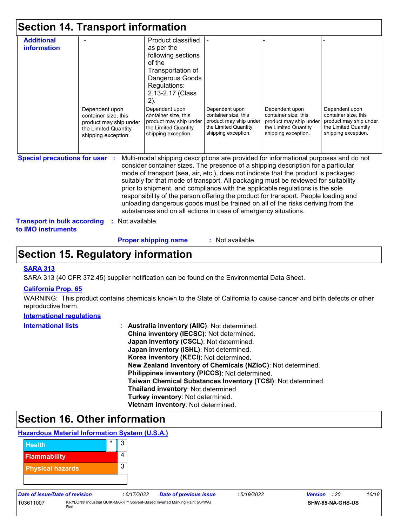|                                                                                                   | <b>Section 14. Transport information</b>                                                                        |                                                                                                                                                                                                                                                                                                                                                                                                                                                                                                                                                                                                                                                                                     |                                                                                                                 |                                                                                                                 |                                                                                                                 |
|---------------------------------------------------------------------------------------------------|-----------------------------------------------------------------------------------------------------------------|-------------------------------------------------------------------------------------------------------------------------------------------------------------------------------------------------------------------------------------------------------------------------------------------------------------------------------------------------------------------------------------------------------------------------------------------------------------------------------------------------------------------------------------------------------------------------------------------------------------------------------------------------------------------------------------|-----------------------------------------------------------------------------------------------------------------|-----------------------------------------------------------------------------------------------------------------|-----------------------------------------------------------------------------------------------------------------|
| <b>Additional</b><br>information                                                                  | Dependent upon<br>container size, this<br>product may ship under<br>the Limited Quantity<br>shipping exception. | Product classified<br>as per the<br>following sections<br>of the<br>Transportation of<br>Dangerous Goods<br>Regulations:<br>2.13-2.17 (Class<br>2).<br>Dependent upon<br>container size, this<br>product may ship under<br>the Limited Quantity<br>shipping exception.                                                                                                                                                                                                                                                                                                                                                                                                              | Dependent upon<br>container size, this<br>product may ship under<br>the Limited Quantity<br>shipping exception. | Dependent upon<br>container size, this<br>product may ship under<br>the Limited Quantity<br>shipping exception. | Dependent upon<br>container size, this<br>product may ship under<br>the Limited Quantity<br>shipping exception. |
| <b>Special precautions for user :</b><br><b>Transport in bulk according</b><br>to IMO instruments | Not available.                                                                                                  | Multi-modal shipping descriptions are provided for informational purposes and do not<br>consider container sizes. The presence of a shipping description for a particular<br>mode of transport (sea, air, etc.), does not indicate that the product is packaged<br>suitably for that mode of transport. All packaging must be reviewed for suitability<br>prior to shipment, and compliance with the applicable regulations is the sole<br>responsibility of the person offering the product for transport. People loading and<br>unloading dangerous goods must be trained on all of the risks deriving from the<br>substances and on all actions in case of emergency situations. |                                                                                                                 |                                                                                                                 |                                                                                                                 |

**Proper shipping name :**

: Not available.

## **Section 15. Regulatory information**

#### **SARA 313**

SARA 313 (40 CFR 372.45) supplier notification can be found on the Environmental Data Sheet.

#### **California Prop. 65**

WARNING: This product contains chemicals known to the State of California to cause cancer and birth defects or other reproductive harm.

### **International regulations**

| <b>International lists</b> | : Australia inventory (AIIC): Not determined.<br>China inventory (IECSC): Not determined.<br>Japan inventory (CSCL): Not determined.<br>Japan inventory (ISHL): Not determined.<br>Korea inventory (KECI): Not determined. |
|----------------------------|----------------------------------------------------------------------------------------------------------------------------------------------------------------------------------------------------------------------------|
|                            | New Zealand Inventory of Chemicals (NZIoC): Not determined.<br>Philippines inventory (PICCS): Not determined.                                                                                                              |
|                            | Taiwan Chemical Substances Inventory (TCSI): Not determined.<br>Thailand inventory: Not determined.                                                                                                                        |
|                            | Turkey inventory: Not determined.<br>Vietnam inventory: Not determined.                                                                                                                                                    |

# **Section 16. Other information**

### **Hazardous Material Information System (U.S.A.)**



| Date of issue/Date of revision |                                                                                  | : 6/17/2022 | <b>Date of previous issue</b> | 5/19/2022 | <b>Version</b> : 20 |                  | 16/18 |
|--------------------------------|----------------------------------------------------------------------------------|-------------|-------------------------------|-----------|---------------------|------------------|-------|
| T03611007                      | KRYLON® Industrial QUIK-MARK™ Solvent-Based Inverted Marking Paint (APWA)<br>Red |             |                               |           |                     | SHW-85-NA-GHS-US |       |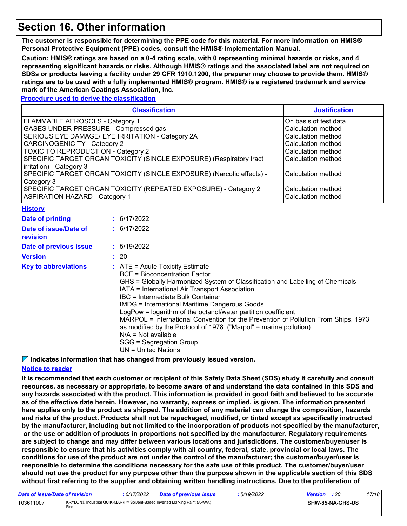## **Section 16. Other information**

**The customer is responsible for determining the PPE code for this material. For more information on HMIS® Personal Protective Equipment (PPE) codes, consult the HMIS® Implementation Manual.**

**Caution: HMIS® ratings are based on a 0-4 rating scale, with 0 representing minimal hazards or risks, and 4 representing significant hazards or risks. Although HMIS® ratings and the associated label are not required on SDSs or products leaving a facility under 29 CFR 1910.1200, the preparer may choose to provide them. HMIS® ratings are to be used with a fully implemented HMIS® program. HMIS® is a registered trademark and service mark of the American Coatings Association, Inc.**

**Procedure used to derive the classification**

| <b>Classification</b>                                                 | <b>Justification</b>  |
|-----------------------------------------------------------------------|-----------------------|
| FLAMMABLE AEROSOLS - Category 1                                       | On basis of test data |
| GASES UNDER PRESSURE - Compressed gas                                 | Calculation method    |
| SERIOUS EYE DAMAGE/ EYE IRRITATION - Category 2A                      | Calculation method    |
| <b>CARCINOGENICITY - Category 2</b>                                   | Calculation method    |
| TOXIC TO REPRODUCTION - Category 2                                    | Calculation method    |
| SPECIFIC TARGET ORGAN TOXICITY (SINGLE EXPOSURE) (Respiratory tract   | Calculation method    |
| irritation) - Category 3                                              |                       |
| SPECIFIC TARGET ORGAN TOXICITY (SINGLE EXPOSURE) (Narcotic effects) - | Calculation method    |
| Category 3                                                            |                       |
| SPECIFIC TARGET ORGAN TOXICITY (REPEATED EXPOSURE) - Category 2       | Calculation method    |
| <b>ASPIRATION HAZARD - Category 1</b>                                 | Calculation method    |

|  |  |  | Historv |  |  |
|--|--|--|---------|--|--|
|--|--|--|---------|--|--|

| Date of printing                  | : 6/17/2022                                                                                                                                                                                                                                                                                                                                                                                                                                                                                                                                                                                                                |
|-----------------------------------|----------------------------------------------------------------------------------------------------------------------------------------------------------------------------------------------------------------------------------------------------------------------------------------------------------------------------------------------------------------------------------------------------------------------------------------------------------------------------------------------------------------------------------------------------------------------------------------------------------------------------|
| Date of issue/Date of<br>revision | : 6/17/2022                                                                                                                                                                                                                                                                                                                                                                                                                                                                                                                                                                                                                |
| Date of previous issue            | : 5/19/2022                                                                                                                                                                                                                                                                                                                                                                                                                                                                                                                                                                                                                |
| <b>Version</b>                    | : 20                                                                                                                                                                                                                                                                                                                                                                                                                                                                                                                                                                                                                       |
| <b>Key to abbreviations</b>       | $\therefore$ ATE = Acute Toxicity Estimate<br><b>BCF</b> = Bioconcentration Factor<br>GHS = Globally Harmonized System of Classification and Labelling of Chemicals<br>IATA = International Air Transport Association<br>IBC = Intermediate Bulk Container<br><b>IMDG</b> = International Maritime Dangerous Goods<br>LogPow = logarithm of the octanol/water partition coefficient<br>MARPOL = International Convention for the Prevention of Pollution From Ships, 1973<br>as modified by the Protocol of 1978. ("Marpol" = marine pollution)<br>$N/A = Not available$<br>SGG = Segregation Group<br>UN = United Nations |

**Indicates information that has changed from previously issued version.**

### **Notice to reader**

**It is recommended that each customer or recipient of this Safety Data Sheet (SDS) study it carefully and consult resources, as necessary or appropriate, to become aware of and understand the data contained in this SDS and any hazards associated with the product. This information is provided in good faith and believed to be accurate as of the effective date herein. However, no warranty, express or implied, is given. The information presented here applies only to the product as shipped. The addition of any material can change the composition, hazards and risks of the product. Products shall not be repackaged, modified, or tinted except as specifically instructed by the manufacturer, including but not limited to the incorporation of products not specified by the manufacturer, or the use or addition of products in proportions not specified by the manufacturer. Regulatory requirements are subject to change and may differ between various locations and jurisdictions. The customer/buyer/user is responsible to ensure that his activities comply with all country, federal, state, provincial or local laws. The conditions for use of the product are not under the control of the manufacturer; the customer/buyer/user is responsible to determine the conditions necessary for the safe use of this product. The customer/buyer/user should not use the product for any purpose other than the purpose shown in the applicable section of this SDS without first referring to the supplier and obtaining written handling instructions. Due to the proliferation of** 

| Date of issue/Date of revision |     | 6/17/2022 | <b>Date of previous issue</b>                                             | : 5/19/2022 | <b>Version</b> : 20 |                         | 17/18 |
|--------------------------------|-----|-----------|---------------------------------------------------------------------------|-------------|---------------------|-------------------------|-------|
| T03611007                      | Rec |           | KRYLON® Industrial QUIK-MARK™ Solvent-Based Inverted Marking Paint (APWA) |             |                     | <b>SHW-85-NA-GHS-US</b> |       |